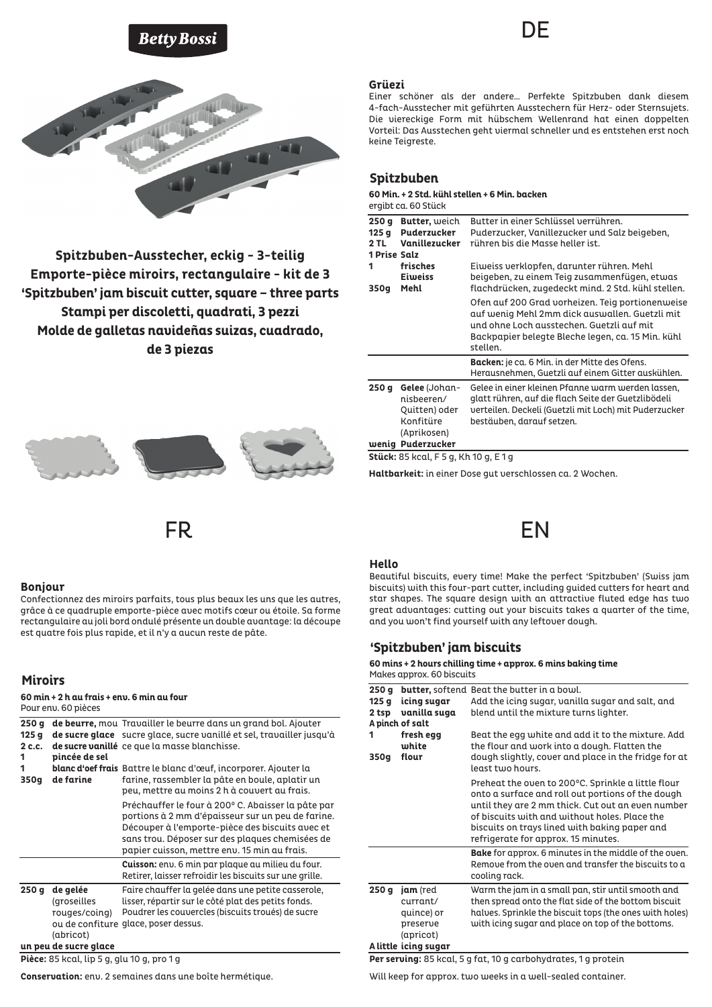# **Betty Bossi**



**Spitzbuben-Ausstecher, eckig - 3-teilig Emporte-pièce miroirs, rectangulaire - kit de 3 'Spitzbuben' jam biscuit cutter, square – three parts Stampi per discoletti, quadrati, 3 pezzi Molde de galletas navideñas suizas, cuadrado, de 3 piezas**



### **Bonjour**

Confectionnez des miroirs parfaits, tous plus beaux les uns que les autres, grâce à ce quadruple emporte-pièce avec motifs cœur ou étoile. Sa forme rectangulaire au joli bord ondulé présente un double avantage: la découpe est quatre fois plus rapide, et il n'y a aucun reste de pâte.

# **Miroirs**

| 60 min + 2 h au frais + env. 6 min au four<br>Pour enu. 60 pièces |                                                       |                                                                                                                                                                                                                                                               |  |  |
|-------------------------------------------------------------------|-------------------------------------------------------|---------------------------------------------------------------------------------------------------------------------------------------------------------------------------------------------------------------------------------------------------------------|--|--|
| 250q<br>125q<br>2 c.c.<br>1                                       | pincée de sel<br>de farine                            | de beurre, mou Travailler le beurre dans un grand bol. Ajouter<br>de sucre glace sucre glace, sucre vanillé et sel, travailler jusqu'à<br>de sucre vanillé ce que la masse blanchisse.                                                                        |  |  |
| 1<br>350g                                                         |                                                       | blanc d'oef frais Battre le blanc d'œuf, incorporer. Ajouter la<br>farine, rassembler la pâte en boule, aplatir un<br>peu, mettre au moins 2 h à couvert au frais.                                                                                            |  |  |
|                                                                   |                                                       | Préchauffer le four à 200° C. Abaisser la pâte par<br>portions à 2 mm d'épaisseur sur un peu de farine.<br>Découper à l'emporte-pièce des biscuits avec et<br>sans trou. Déposer sur des plaques chemisées de<br>papier cuisson, mettre env. 15 min au frais. |  |  |
|                                                                   |                                                       | <b>Cuisson:</b> env. 6 min par plaque au milieu du four.<br>Retirer, laisser refroidir les biscuits sur une grille.                                                                                                                                           |  |  |
| 250 g                                                             | de gelée<br>(groseilles<br>rouges/coing)<br>(abricot) | Faire chauffer la gelée dans une petite casserole,<br>lisser, répartir sur le côté plat des petits fonds.<br>Poudrer les couvercles (biscuits troués) de sucre<br>ou de confiture glace, poser dessus.                                                        |  |  |
| un peu de sucre glace                                             |                                                       |                                                                                                                                                                                                                                                               |  |  |

**Pièce:** 85 kcal, lip 5 g, glu 10 g, pro 1 g

**Conservation:** env. 2 semaines dans une boîte hermétique.

### **Grüezi**

Einer schöner als der andere… Perfekte Spitzbuben dank diesem 4-fach-Ausstecher mit geführten Ausstechern für Herz- oder Sternsujets. Die viereckige Form mit hübschem Wellenrand hat einen doppelten Vorteil: Das Ausstechen geht viermal schneller und es entstehen erst noch keine Teigreste.

DE

## **Spitzbuben**

### **60 Min. + 2 Std. kühl stellen + 6 Min. backen**

| ergibt ca. 60 Stück |  |  |  |
|---------------------|--|--|--|
|---------------------|--|--|--|

| <b>Butter</b> , weich<br><b>Puderzucker</b><br>Vanillezucker<br><b>1 Prise Salz</b> | Butter in einer Schlüssel verrühren.<br>Puderzucker, Vanillezucker und Salz beigeben,<br>rühren bis die Masse heller ist.                                                                                        |
|-------------------------------------------------------------------------------------|------------------------------------------------------------------------------------------------------------------------------------------------------------------------------------------------------------------|
| frisches<br><b>Eiweiss</b><br>Mehl                                                  | Eiweiss verklopfen, darunter rühren. Mehl<br>beigeben, zu einem Teig zusammenfügen, etwas<br>flachdrücken, zugedeckt mind. 2 Std. kühl stellen.                                                                  |
|                                                                                     | Ofen auf 200 Grad vorheizen. Teig portionenweise<br>auf wenig Mehl 2mm dick auswallen. Guetzli mit<br>und ohne Loch ausstechen. Guetzli auf mit<br>Backpapier belegte Bleche legen, ca. 15 Min. kühl<br>stellen. |
|                                                                                     | <b>Backen:</b> je ca. 6 Min. in der Mitte des Ofens.<br>Herausnehmen, Guetzli auf einem Gitter auskühlen.                                                                                                        |
| <b>Gelee</b> (Johan-<br>nisbeeren/<br>Quitten) oder<br>Konfitüre<br>(Aprikosen)     | Gelee in einer kleinen Pfanne warm werden lassen,<br>glatt rühren, auf die flach Seite der Guetzlibödeli<br>verteilen. Deckeli (Guetzli mit Loch) mit Puderzucker<br>bestäuben, darauf setzen.                   |
|                                                                                     | wenig Puderzucker                                                                                                                                                                                                |

**Stück:** 85 kcal, F 5 g, Kh 10 g, E 1 g

**Haltbarkeit:** in einer Dose gut verschlossen ca. 2 Wochen.

# FR EN

### **Hello**

Beautiful biscuits, every time! Make the perfect 'Spitzbuben' (Swiss jam biscuits) with this four-part cutter, including guided cutters for heart and star shapes. The square design with an attractive fluted edge has two great advantages: cutting out your biscuits takes a quarter of the time, and you won't find yourself with any leftover dough.

# **'Spitzbuben' jam biscuits**

### **60 mins + 2 hours chilling time + approx. 6 mins baking time** Makes approx. 60 biscuits

| 250q  |                                                             | <b>butter,</b> softend Beat the butter in a bowl.                                                                                                                                                                                                                                                     |
|-------|-------------------------------------------------------------|-------------------------------------------------------------------------------------------------------------------------------------------------------------------------------------------------------------------------------------------------------------------------------------------------------|
| 125q  | icing sugar                                                 | Add the icing sugar, vanilla sugar and salt, and                                                                                                                                                                                                                                                      |
| 2 tsp | vanilla suga                                                | blend until the mixture turns lighter.                                                                                                                                                                                                                                                                |
|       | A pinch of salt                                             |                                                                                                                                                                                                                                                                                                       |
| 1     | fresh egg<br>white                                          | Beat the egg white and add it to the mixture. Add<br>the flour and work into a dough. Flatten the                                                                                                                                                                                                     |
| 350g  | flour                                                       | dough slightly, cover and place in the fridge for at<br>least tujo hours.                                                                                                                                                                                                                             |
|       |                                                             | Preheat the oven to 200°C. Sprinkle a little flour<br>onto a surface and roll out portions of the dough<br>until they are 2 mm thick. Cut out an even number<br>of biscuits with and without holes. Place the<br>biscuits on trays lined with baking paper and<br>refrigerate for approx. 15 minutes. |
|       |                                                             | <b>Bake</b> for approx. 6 minutes in the middle of the oven.<br>Remove from the oven and transfer the biscuits to a<br>cooling rack.                                                                                                                                                                  |
| 250 g | jam (red<br>currant/<br>quince) or<br>preserve<br>(apricot) | Warm the jam in a small pan, stir until smooth and<br>then spread onto the flat side of the bottom biscuit<br>halves. Sprinkle the biscuit tops (the ones with holes)<br>with icing sugar and place on top of the bottoms.                                                                            |
|       | A little icing sugar                                        |                                                                                                                                                                                                                                                                                                       |

**Per serving:** 85 kcal, 5 g fat, 10 g carbohydrates, 1 g protein

Will keep for approx. two weeks in a well-sealed container.